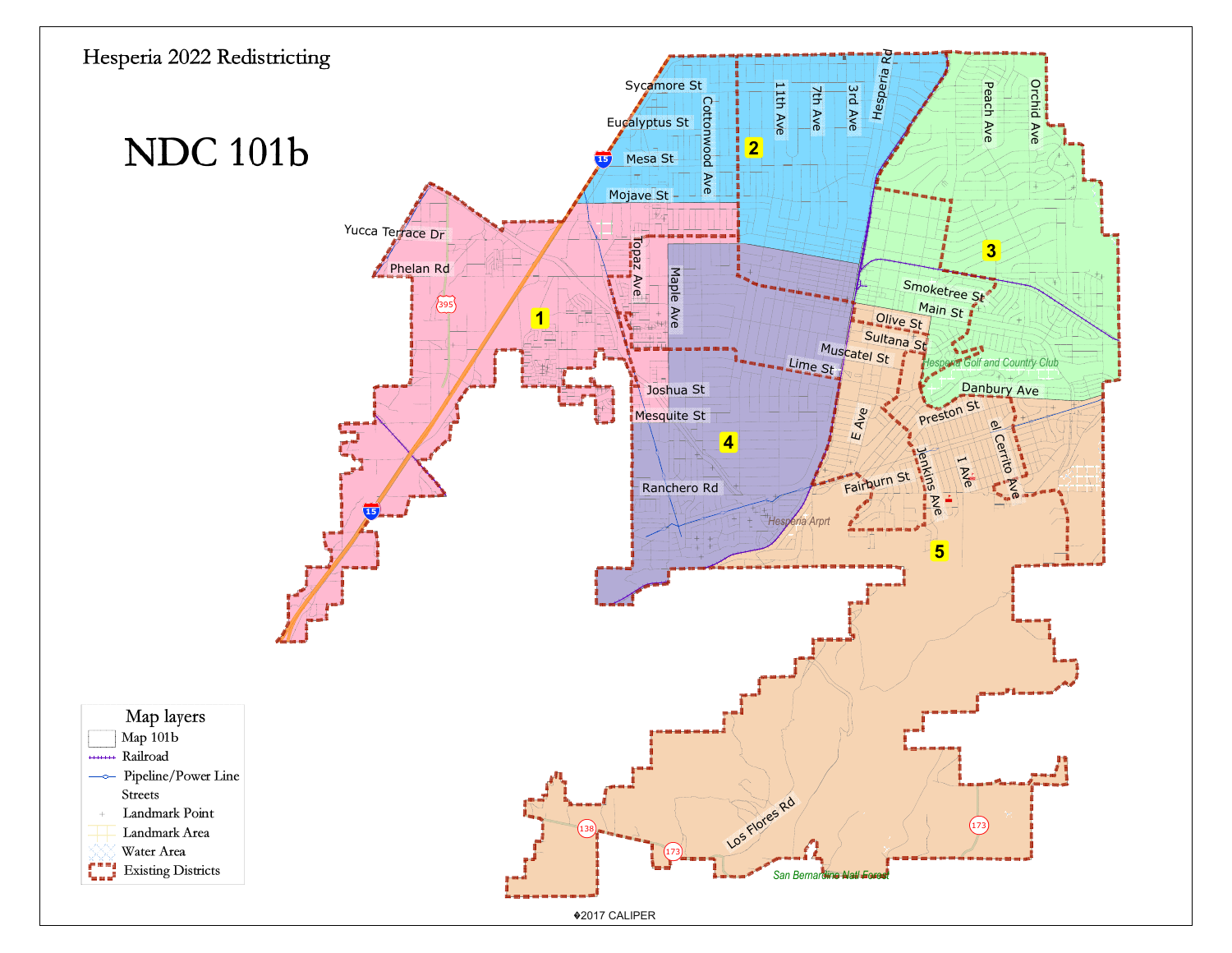